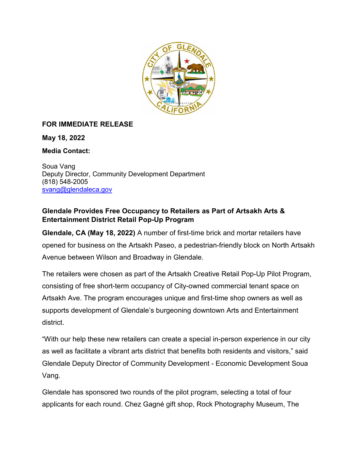

## **FOR IMMEDIATE RELEASE**

**May 18, 2022**

**Media Contact:**

Soua Vang Deputy Director, Community Development Department (818) 548-2005 [svang@glendaleca.gov](mailto:svang@glendaleca.gov)

## **Glendale Provides Free Occupancy to Retailers as Part of Artsakh Arts & Entertainment District Retail Pop-Up Program**

**Glendale, CA (May 18, 2022)** A number of first-time brick and mortar retailers have opened for business on the Artsakh Paseo, a pedestrian-friendly block on North Artsakh Avenue between Wilson and Broadway in Glendale.

The retailers were chosen as part of the Artsakh Creative Retail Pop-Up Pilot Program, consisting of free short-term occupancy of City-owned commercial tenant space on Artsakh Ave. The program encourages unique and first-time shop owners as well as supports development of Glendale's burgeoning downtown Arts and Entertainment district.

"With our help these new retailers can create a special in-person experience in our city as well as facilitate a vibrant arts district that benefits both residents and visitors," said Glendale Deputy Director of Community Development - Economic Development Soua Vang.

Glendale has sponsored two rounds of the pilot program, selecting a total of four applicants for each round. Chez Gagné gift shop, Rock Photography Museum, The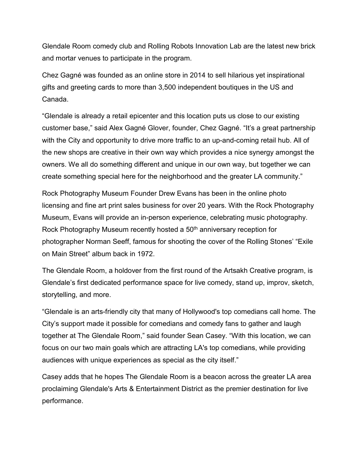Glendale Room comedy club and Rolling Robots Innovation Lab are the latest new brick and mortar venues to participate in the program.

Chez Gagné was founded as an online store in 2014 to sell hilarious yet inspirational gifts and greeting cards to more than 3,500 independent boutiques in the US and Canada.

"Glendale is already a retail epicenter and this location puts us close to our existing customer base," said Alex Gagné Glover, founder, Chez Gagné. "It's a great partnership with the City and opportunity to drive more traffic to an up-and-coming retail hub. All of the new shops are creative in their own way which provides a nice synergy amongst the owners. We all do something different and unique in our own way, but together we can create something special here for the neighborhood and the greater LA community."

Rock Photography Museum Founder Drew Evans has been in the online photo licensing and fine art print sales business for over 20 years. With the Rock Photography Museum, Evans will provide an in-person experience, celebrating music photography. Rock Photography Museum recently hosted a 50<sup>th</sup> anniversary reception for photographer Norman Seeff, famous for shooting the cover of the Rolling Stones' "Exile on Main Street" album back in 1972.

The Glendale Room, a holdover from the first round of the Artsakh Creative program, is Glendale's first dedicated performance space for live comedy, stand up, improv, sketch, storytelling, and more.

"Glendale is an arts-friendly city that many of Hollywood's top comedians call home. The City's support made it possible for comedians and comedy fans to gather and laugh together at The Glendale Room," said founder Sean Casey. "With this location, we can focus on our two main goals which are attracting LA's top comedians, while providing audiences with unique experiences as special as the city itself."

Casey adds that he hopes The Glendale Room is a beacon across the greater LA area proclaiming Glendale's Arts & Entertainment District as the premier destination for live performance.